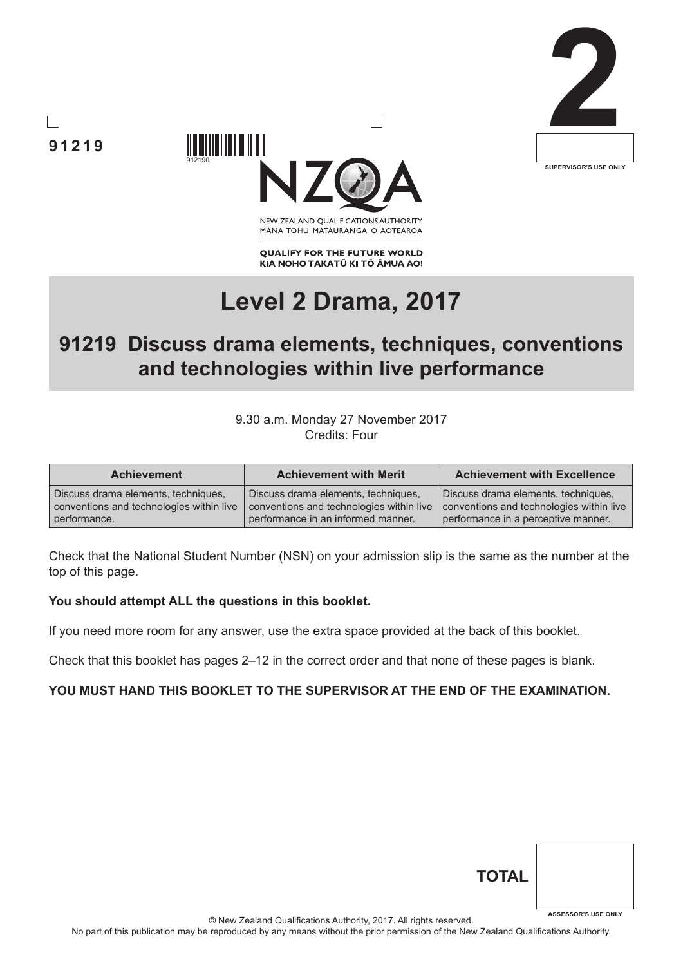





NEW ZEALAND OUALIFICATIONS AUTHORITY MANA TOHU MATAURANGA O AOTEAROA

**QUALIFY FOR THE FUTURE WORLD** KIA NOHO TAKATŪ KI TŌ ĀMUA AO!

# **Level 2 Drama, 2017**

# **91219 Discuss drama elements, techniques, conventions and technologies within live performance**

9.30 a.m. Monday 27 November 2017 Credits: Four

| <b>Achievement</b>                       | <b>Achievement with Merit</b>            | <b>Achievement with Excellence</b>       |
|------------------------------------------|------------------------------------------|------------------------------------------|
| Discuss drama elements, techniques,      | Discuss drama elements, techniques,      | Discuss drama elements, techniques,      |
| conventions and technologies within live | conventions and technologies within live | conventions and technologies within live |
| performance.                             | performance in an informed manner.       | performance in a perceptive manner.      |

Check that the National Student Number (NSN) on your admission slip is the same as the number at the top of this page.

#### **You should attempt ALL the questions in this booklet.**

If you need more room for any answer, use the extra space provided at the back of this booklet.

Check that this booklet has pages 2–12 in the correct order and that none of these pages is blank.

#### **YOU MUST HAND THIS BOOKLET TO THE SUPERVISOR AT THE END OF THE EXAMINATION.**

| <b>TOTAL</b> |                            |
|--------------|----------------------------|
|              | <b>ASSESSOR'S USE ONLY</b> |

© New Zealand Qualifications Authority, 2017. All rights reserved.

No part of this publication may be reproduced by any means without the prior permission of the New Zealand Qualifications Authority.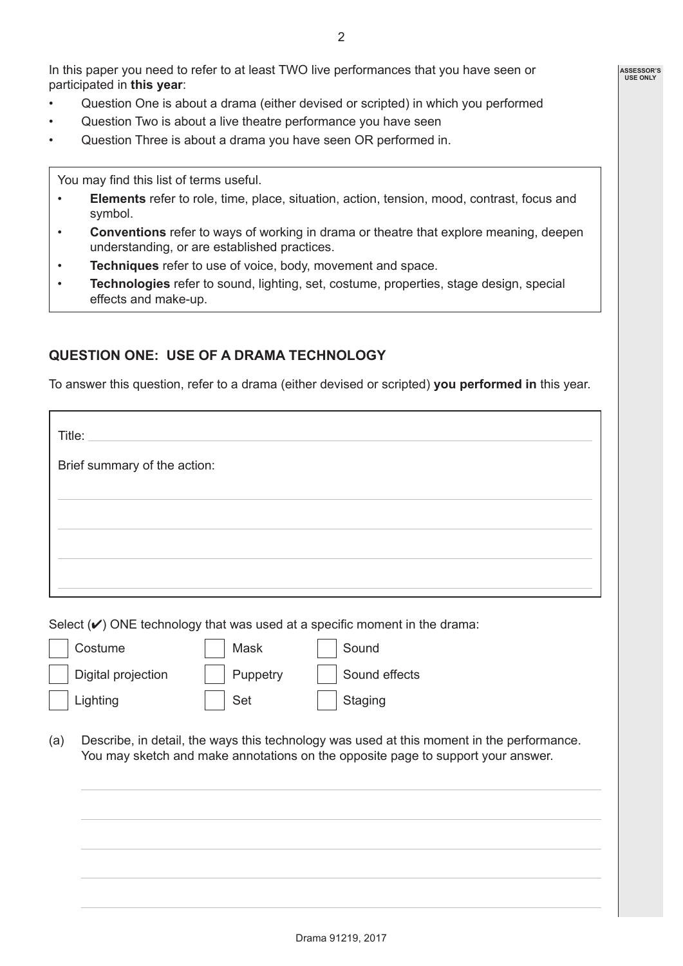In this paper you need to refer to at least TWO live performances that you have seen or participated in **this year**:

- Question One is about a drama (either devised or scripted) in which you performed
- Question Two is about a live theatre performance you have seen
- Question Three is about a drama you have seen OR performed in.

You may find this list of terms useful.

- **Elements** refer to role, time, place, situation, action, tension, mood, contrast, focus and symbol.
- **Conventions** refer to ways of working in drama or theatre that explore meaning, deepen understanding, or are established practices.
- **Techniques** refer to use of voice, body, movement and space.
- **Technologies** refer to sound, lighting, set, costume, properties, stage design, special effects and make-up.

## **QUESTION ONE: USE OF A DRAMA TECHNOLOGY**

To answer this question, refer to a drama (either devised or scripted) **you performed in** this year.

| Brief summary of the action: |  |
|------------------------------|--|
|                              |  |
|                              |  |
|                              |  |
|                              |  |

Select  $(V)$  ONE technology that was used at a specific moment in the drama:

| Costume            | Mask     | Sound         |
|--------------------|----------|---------------|
| Digital projection | Puppetry | Sound effects |
| Lighting           | Set      | Staging       |

(a) Describe, in detail, the ways this technology was used at this moment in the performance. You may sketch and make annotations on the opposite page to support your answer.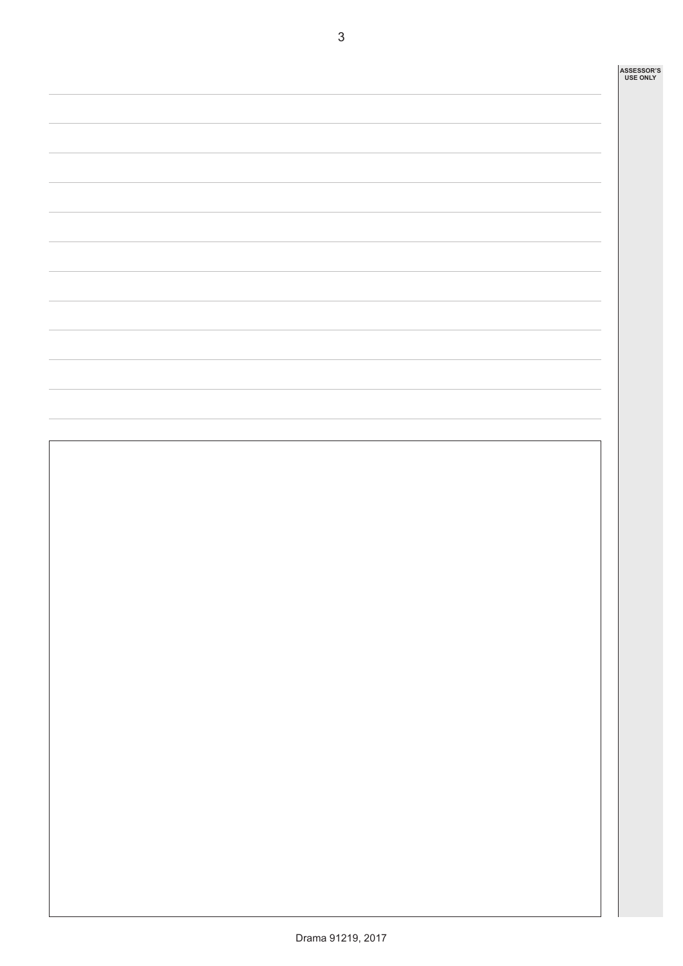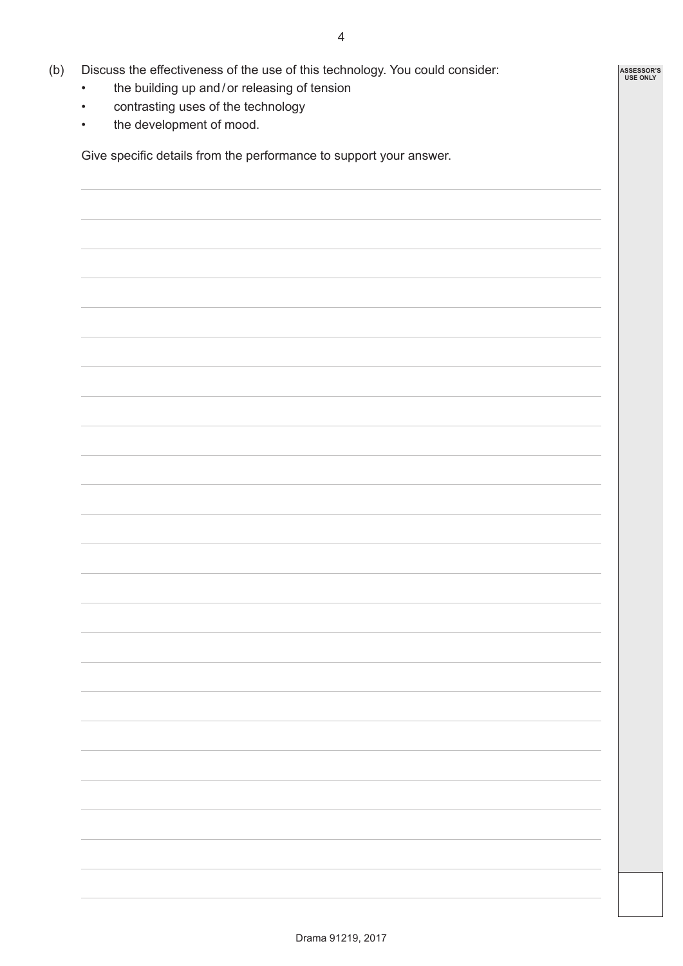- (b) Discuss the effectiveness of the use of this technology. You could consider:
	- the building up and/or releasing of tension
	- contrasting uses of the technology
	- the development of mood.

Give specific details from the performance to support your answer.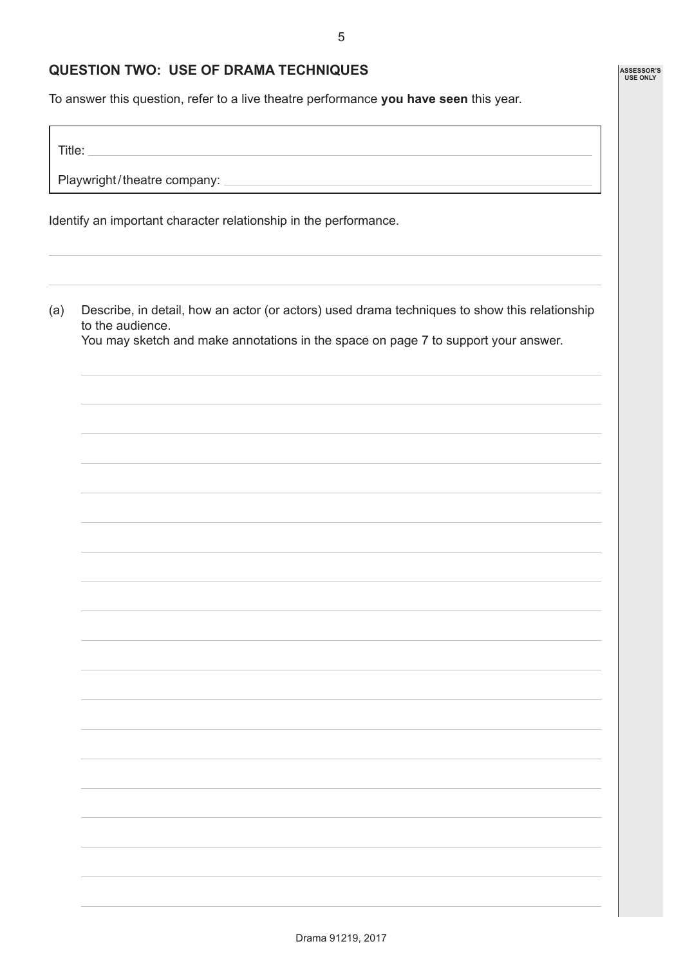#### **QUESTION TWO: USE OF DRAMA TECHNIQUES**

To answer this question, refer to a live theatre performance **you have seen** this year.

Title:

Playwright/theatre company: \_

Identify an important character relationship in the performance.

(a) Describe, in detail, how an actor (or actors) used drama techniques to show this relationship to the audience.

You may sketch and make annotations in the space on page 7 to support your answer.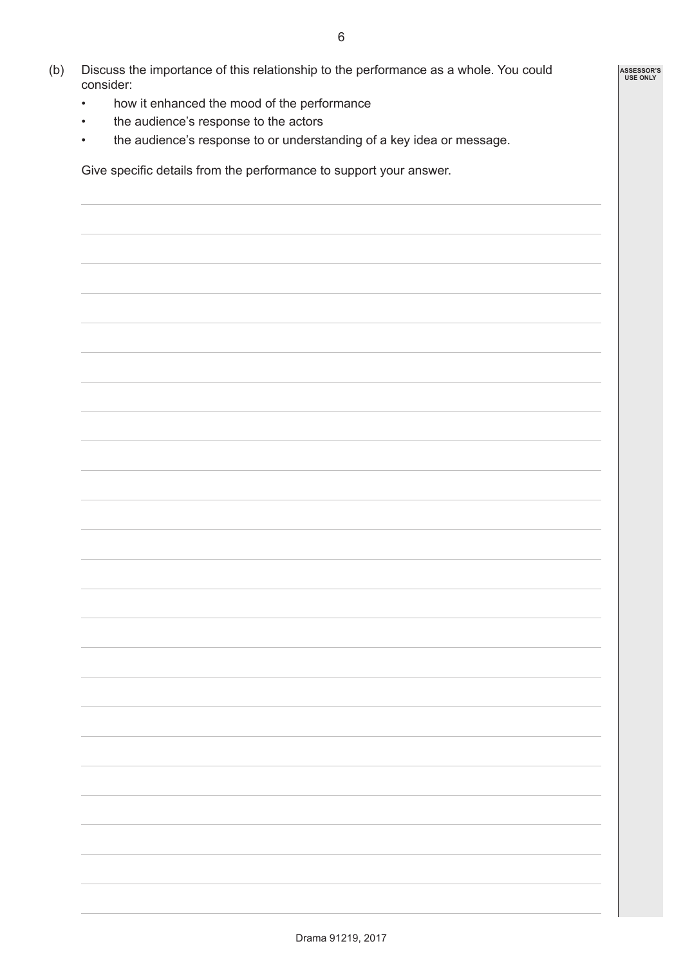- (b) Discuss the importance of this relationship to the performance as a whole. You could consider:
	- how it enhanced the mood of the performance
	- the audience's response to the actors
	- the audience's response to or understanding of a key idea or message.

Give specific details from the performance to support your answer.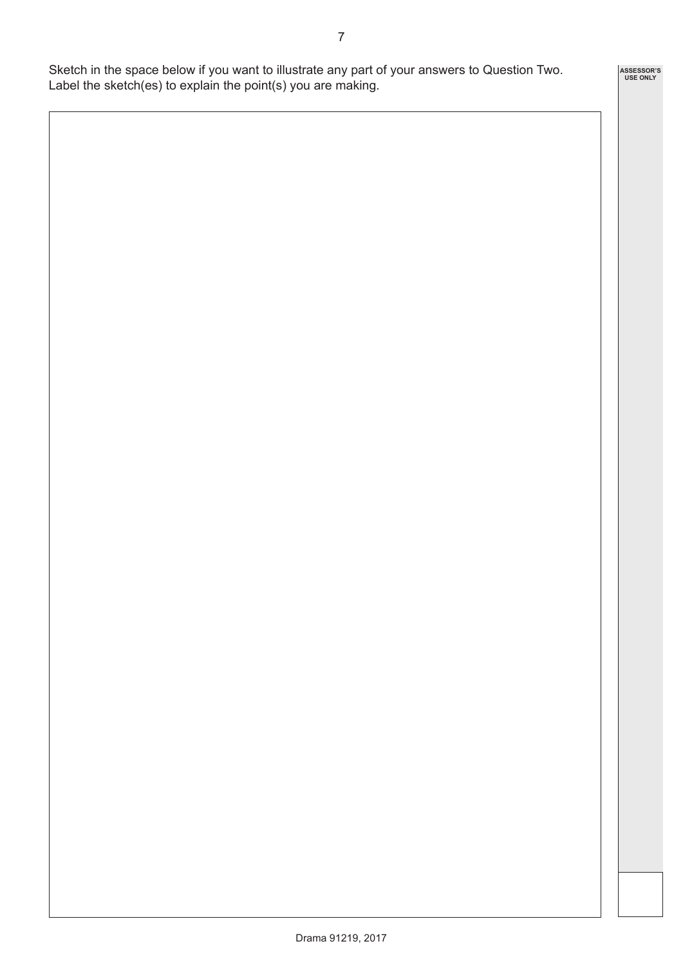Sketch in the space below if you want to illustrate any part of your answers to Question Two. Label the sketch(es) to explain the point(s) you are making.

**ASSESSOR'S USE ONLY**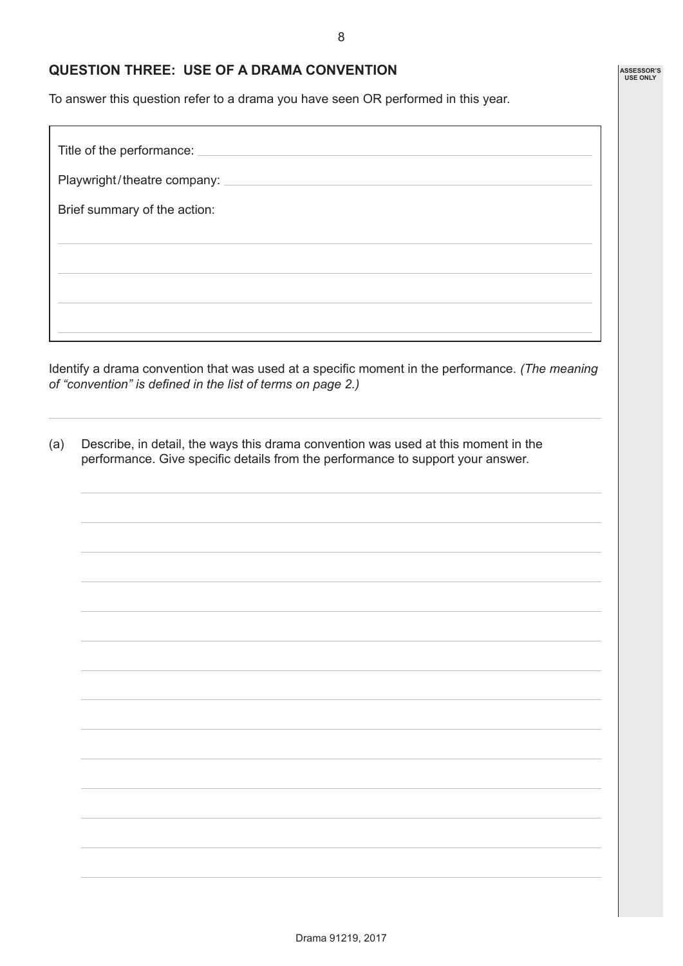8

## **QUESTION THREE: USE OF A DRAMA CONVENTION**

To answer this question refer to a drama you have seen OR performed in this year.

| Title of the performance:                                                                                                                                                                                                                                                       |
|---------------------------------------------------------------------------------------------------------------------------------------------------------------------------------------------------------------------------------------------------------------------------------|
| Playwright/theatre company: _<br>$\label{eq:2.1} \frac{1}{\sqrt{2}}\int_{\mathbb{R}^3}\frac{1}{\sqrt{2}}\left(\frac{1}{\sqrt{2}}\right)^2\left(\frac{1}{\sqrt{2}}\right)^2\left(\frac{1}{\sqrt{2}}\right)^2\left(\frac{1}{\sqrt{2}}\right)^2\left(\frac{1}{\sqrt{2}}\right)^2.$ |
| Brief summary of the action:                                                                                                                                                                                                                                                    |
|                                                                                                                                                                                                                                                                                 |
|                                                                                                                                                                                                                                                                                 |
|                                                                                                                                                                                                                                                                                 |
|                                                                                                                                                                                                                                                                                 |

Identify a drama convention that was used at a specific moment in the performance. *(The meaning of "convention" is defined in the list of terms on page 2.)*

(a) Describe, in detail, the ways this drama convention was used at this moment in the performance. Give specific details from the performance to support your answer.

**ASSESSOR'S USE ONLY**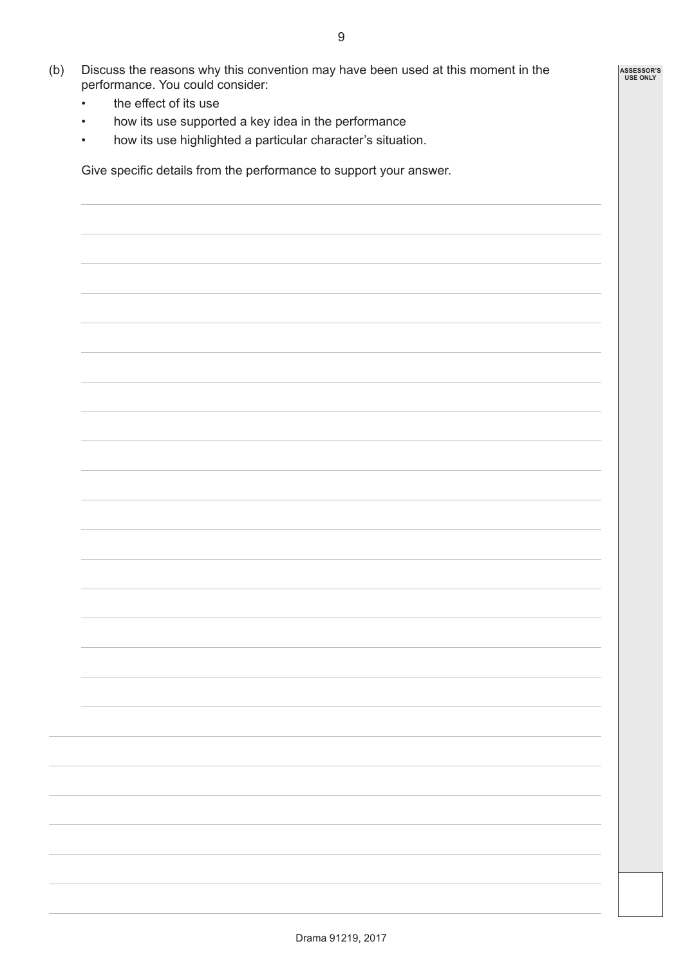- (b) Discuss the reasons why this convention may have been used at this moment in the performance. You could consider:
	- the effect of its use
	- how its use supported a key idea in the performance
	- how its use highlighted a particular character's situation.

Give specific details from the performance to support your answer.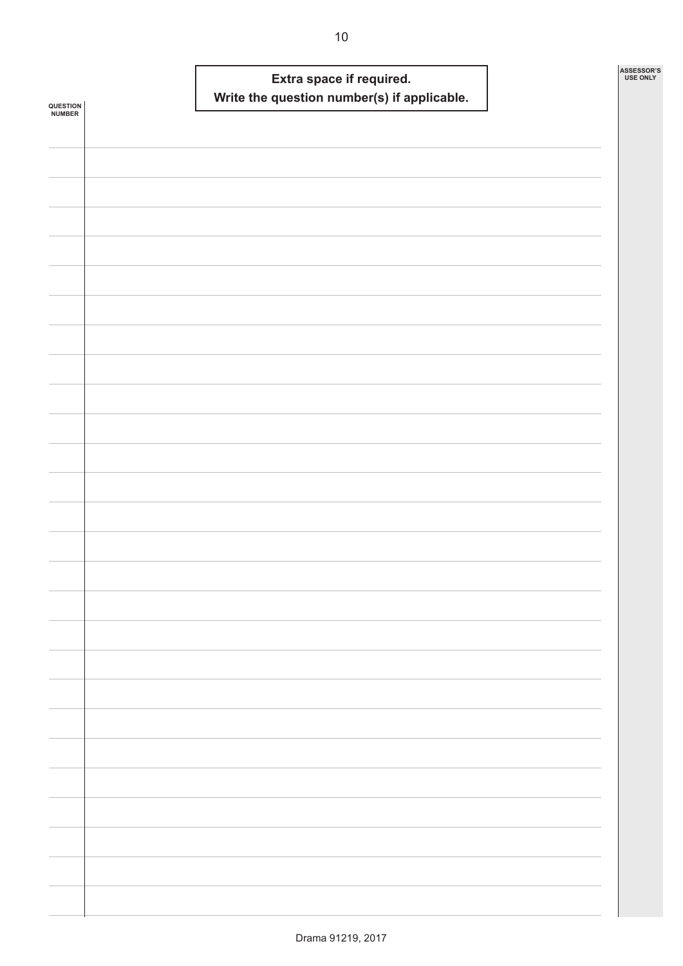| QUESTION<br><b>NUMBER</b> |  | Extra space if required. | Write the question number(s) if applicable. |  | ASSESSOR'S<br><b>USE ONLY</b> |
|---------------------------|--|--------------------------|---------------------------------------------|--|-------------------------------|
|                           |  |                          |                                             |  |                               |
|                           |  |                          |                                             |  |                               |
|                           |  |                          |                                             |  |                               |
|                           |  |                          |                                             |  |                               |
|                           |  |                          |                                             |  |                               |
|                           |  |                          |                                             |  |                               |
|                           |  |                          |                                             |  |                               |
|                           |  |                          |                                             |  |                               |
|                           |  |                          |                                             |  |                               |
|                           |  |                          |                                             |  |                               |
|                           |  |                          |                                             |  |                               |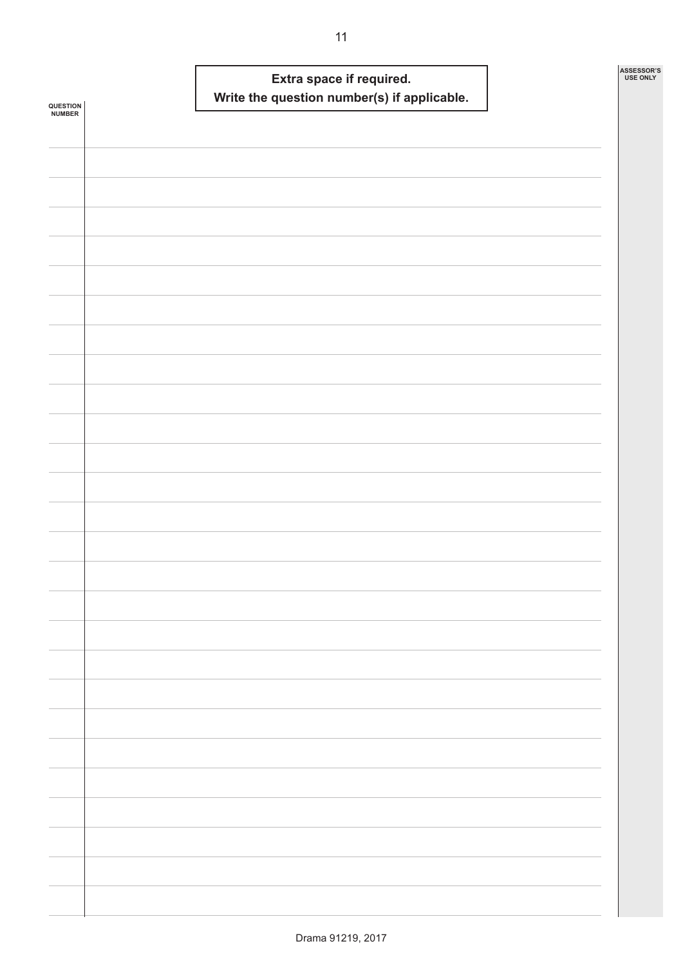| QUESTION<br>NUMBER | Extra space if required.<br>Write the question number(s) if applicable. | ASSESSOR'S<br><b>USE ONLY</b> |
|--------------------|-------------------------------------------------------------------------|-------------------------------|
|                    |                                                                         |                               |
|                    |                                                                         |                               |
|                    |                                                                         |                               |
|                    |                                                                         |                               |
|                    |                                                                         |                               |
|                    |                                                                         |                               |
|                    |                                                                         |                               |
|                    |                                                                         |                               |
|                    |                                                                         |                               |
|                    |                                                                         |                               |
|                    |                                                                         |                               |
|                    |                                                                         |                               |
|                    |                                                                         |                               |
|                    |                                                                         |                               |
|                    |                                                                         |                               |